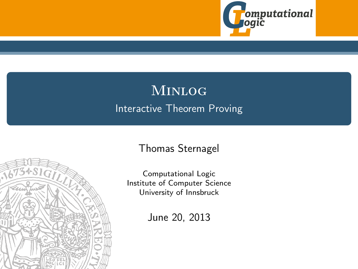

# Minlog Interactive Theorem Proving





Computational Logic Institute of Computer Science University of Innsbruck

June 20, 2013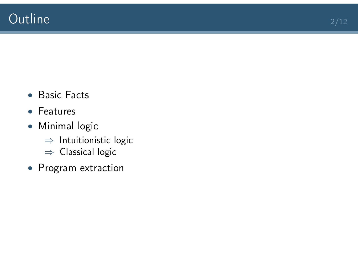- Basic Facts
- Features
- Minimal logic
	- ⇒ Intuitionistic logic
	- ⇒ Classical logic
- Program extraction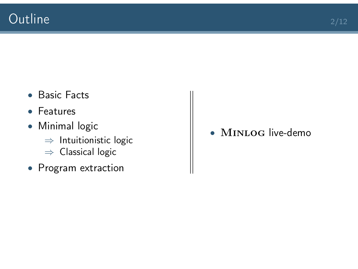- Basic Facts
- Features
- Minimal logic
	- ⇒ Intuitionistic logic
	- ⇒ Classical logic
- Program extraction

• MINLOG live-demo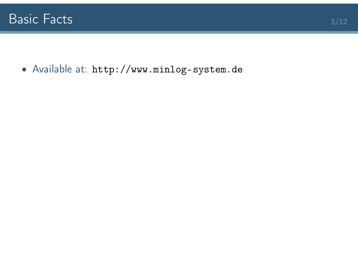• Available at: <http://www.minlog-system.de>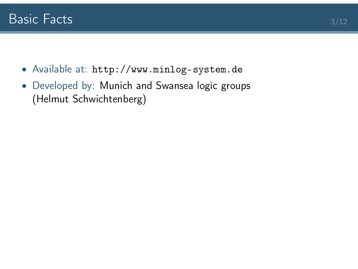- Available at: <http://www.minlog-system.de>
- Developed by: Munich and Swansea logic groups (Helmut Schwichtenberg)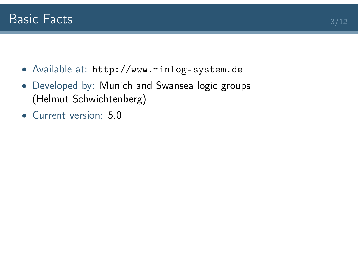- Available at: <http://www.minlog-system.de>
- Developed by: Munich and Swansea logic groups (Helmut Schwichtenberg)
- Current version: 5.0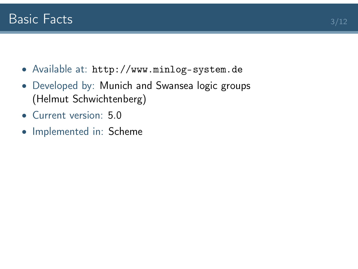- Available at: <http://www.minlog-system.de>
- Developed by: Munich and Swansea logic groups (Helmut Schwichtenberg)
- Current version: 5.0
- Implemented in: Scheme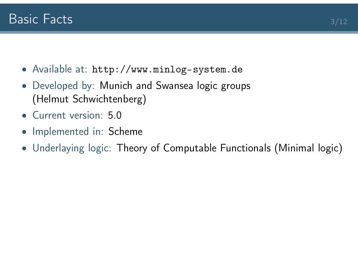- Available at: <http://www.minlog-system.de>
- Developed by: Munich and Swansea logic groups (Helmut Schwichtenberg)
- Current version: 5.0
- Implemented in: Scheme
- Underlaying logic: Theory of Computable Functionals (Minimal logic)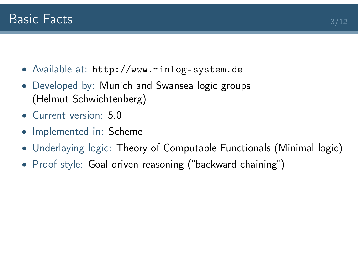- Available at: <http://www.minlog-system.de>
- Developed by: Munich and Swansea logic groups (Helmut Schwichtenberg)
- Current version: 5.0
- Implemented in: Scheme
- Underlaying logic: Theory of Computable Functionals (Minimal logic)
- Proof style: Goal driven reasoning ("backward chaining")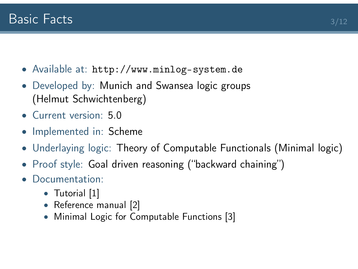- Available at: <http://www.minlog-system.de>
- Developed by: Munich and Swansea logic groups (Helmut Schwichtenberg)
- Current version: 5.0
- Implemented in: Scheme
- Underlaying logic: Theory of Computable Functionals (Minimal logic)
- Proof style: Goal driven reasoning ("backward chaining")
- Documentation:
	- Tutorial [\[1\]](#page-30-0)
	- Reference manual [\[2\]](#page-30-1)
	- Minimal Logic for Computable Functions [\[3\]](#page-30-2)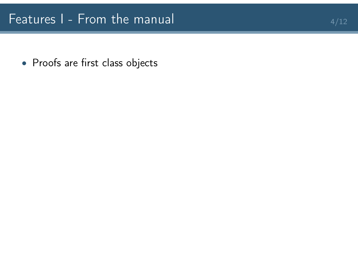• Proofs are first class objects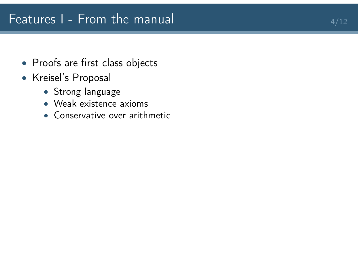## Features I - From the manual  $4/12$

- Proofs are first class objects
- Kreisel's Proposal
	- Strong language
	- Weak existence axioms
	- Conservative over arithmetic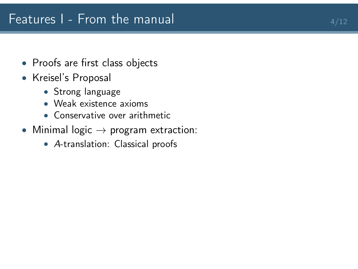- Proofs are first class objects
- Kreisel's Proposal
	- Strong language
	- Weak existence axioms
	- Conservative over arithmetic
- Minimal logic  $\rightarrow$  program extraction:
	- A-translation: Classical proofs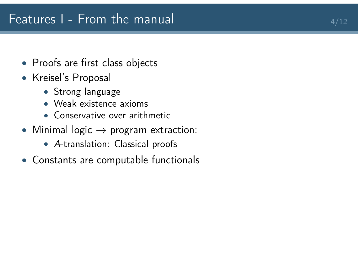- Proofs are first class objects
- Kreisel's Proposal
	- Strong language
	- Weak existence axioms
	- Conservative over arithmetic
- Minimal logic  $\rightarrow$  program extraction:
	- A-translation: Classical proofs
- Constants are computable functionals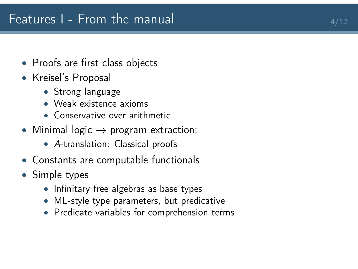- Proofs are first class objects
- Kreisel's Proposal
	- Strong language
	- Weak existence axioms
	- Conservative over arithmetic
- Minimal logic  $\rightarrow$  program extraction:
	- A-translation: Classical proofs
- Constants are computable functionals
- Simple types
	- Infinitary free algebras as base types
	- ML-style type parameters, but predicative
	- Predicate variables for comprehension terms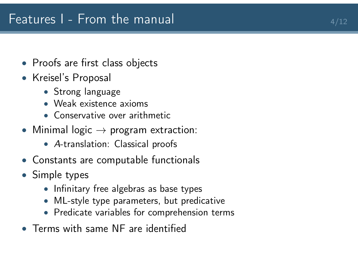- Proofs are first class objects
- Kreisel's Proposal
	- Strong language
	- Weak existence axioms
	- Conservative over arithmetic
- Minimal logic  $\rightarrow$  program extraction:
	- A-translation: Classical proofs
- Constants are computable functionals
- Simple types
	- Infinitary free algebras as base types
	- ML-style type parameters, but predicative
	- Predicate variables for comprehension terms
- Terms with same NF are identified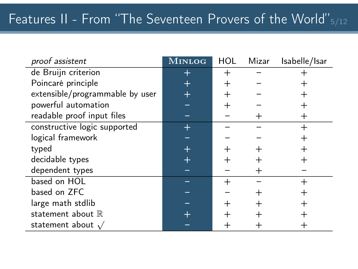# Features II - From "The Seventeen Provers of the World" 5/12

| proof assistent                 | <b>MINLOG</b> | <b>HOL</b> | Mizar | Isabelle/Isar |
|---------------------------------|---------------|------------|-------|---------------|
| de Bruijn criterion             | $\pm$         | $^+$       |       |               |
| Poincaré principle              | $\pm$         | $^{+}$     |       |               |
| extensible/programmable by user |               |            |       |               |
| powerful automation             |               |            |       |               |
| readable proof input files      |               |            | $^+$  | $^+$          |
| constructive logic supported    | $\pm$         |            |       | $\, +$        |
| logical framework               |               |            |       |               |
| typed                           | $\pm$         |            |       |               |
| decidable types                 | $\pm$         |            |       |               |
| dependent types                 |               |            |       |               |
| based on HOL                    |               |            |       | $\mathrm{+}$  |
| based on ZFC                    |               |            |       |               |
| large math stdlib               |               |            |       |               |
| statement about $\mathbb R$     |               |            |       |               |
| statement about $\sqrt{}$       |               |            |       |               |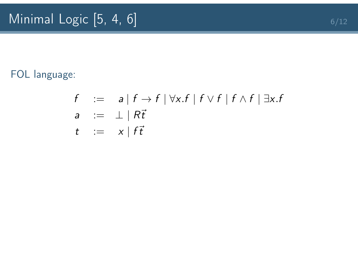#### FOL language:

$$
f := a | f \rightarrow f | \forall x . f | f \vee f | f \wedge f | \exists x . f
$$
  
\n
$$
a := \bot | R\vec{t}
$$
  
\n
$$
t := x | f\vec{t}
$$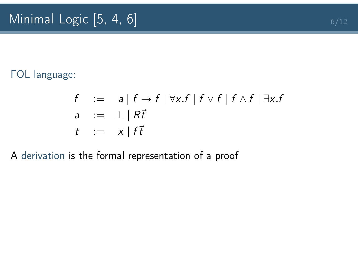#### FOL language:

$$
f := a | f \rightarrow f | \forall x . f | f \lor f | f \land f | \exists x . f
$$
  
\n
$$
a := \bot | R\vec{t}
$$
  
\n
$$
t := x | f\vec{t}
$$

#### A derivation is the formal representation of a proof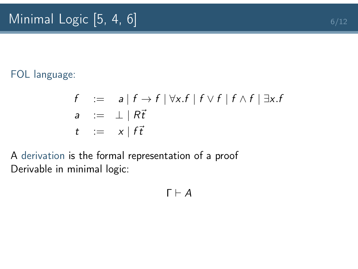#### FOL language:

$$
f := a | f \rightarrow f | \forall x . f | f \lor f | f \land f | \exists x . f
$$
  
\n
$$
a := \bot | R\vec{t}
$$
  
\n
$$
t := x | f\vec{t}
$$

A derivation is the formal representation of a proof Derivable in minimal logic:

$$
\Gamma \vdash A
$$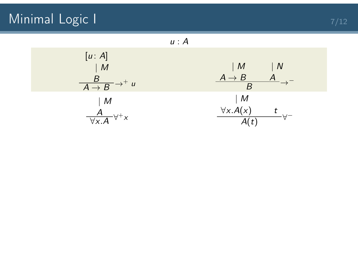# Minimal Logic I  $7/12$

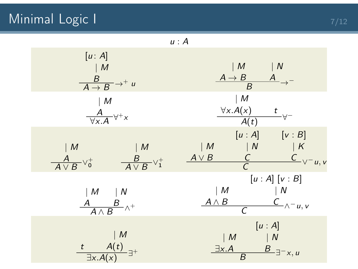## Minimal Logic I  $7/12$

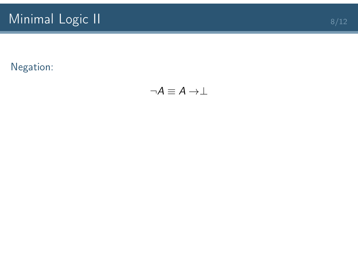$\neg A \equiv A \rightarrow \perp$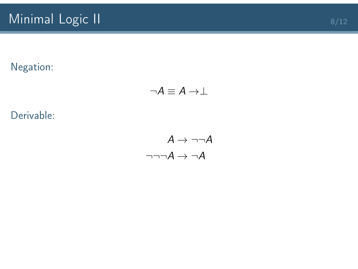#### Negation:

$$
\neg A \equiv A \rightarrow \perp
$$

Derivable:

$$
A \rightarrow \neg\neg A
$$

$$
\neg \neg \neg A \rightarrow \neg A
$$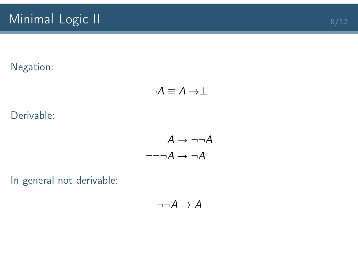#### Negation:

$$
\neg A \equiv A \rightarrow \perp
$$

Derivable:

$$
A \rightarrow \neg\neg A
$$

$$
\neg \neg \neg A \rightarrow \neg A
$$

In general not derivable:

$$
\neg\neg A \to A
$$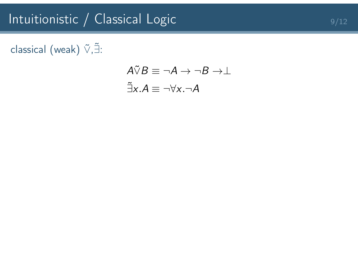# Intuitionistic / Classical Logic 9/12

## classical (weak)  $\tilde{\vee}, \tilde{\exists}$ :

$$
\begin{aligned} A \tilde{\vee} B &\equiv \neg A \to \neg B \to \perp \\ \tilde{\exists} x.A &\equiv \neg \forall x.\neg A \end{aligned}
$$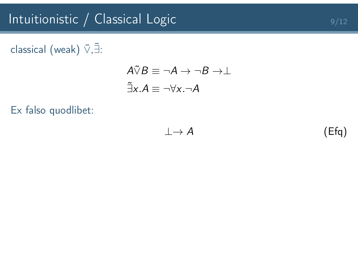## classical (weak)  $\tilde{\vee}, \tilde{\exists}$ :

$$
A\tilde{\vee}B \equiv \neg A \to \neg B \to \perp
$$

$$
\tilde{\exists}x.A \equiv \neg \forall x.\neg A
$$

Ex falso quodlibet:

$$
\perp \to A \tag{Efq}
$$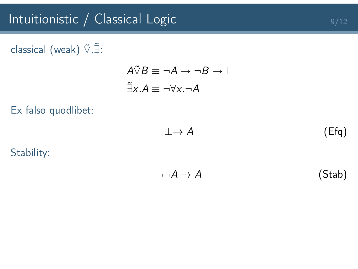# Intuitionistic / Classical Logic 9/12

#### classical (weak)  $\tilde{\vee}$ , $\tilde{\exists}$ :

$$
A\tilde{\vee}B \equiv \neg A \to \neg B \to \perp
$$

$$
\tilde{\exists}x.A \equiv \neg \forall x.\neg A
$$

Ex falso quodlibet:

$$
\perp \to A \tag{Efq}
$$

Stability:

$$
\neg \neg A \to A \tag{Stab}
$$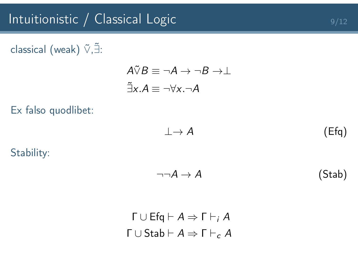#### classical (weak)  $\tilde{\vee}$ , $\tilde{\exists}$ :

$$
A\tilde{\vee}B \equiv \neg A \to \neg B \to \perp
$$

$$
\tilde{\exists}x.A \equiv \neg \forall x.\neg A
$$

Ex falso quodlibet:

$$
\perp \to A \tag{Efq}
$$

Stability:

$$
\neg \neg A \to A \tag{Stab}
$$

$$
\Gamma \cup Ef q \vdash A \Rightarrow \Gamma \vdash_i A
$$

$$
\Gamma \cup Stab \vdash A \Rightarrow \Gamma \vdash_c A
$$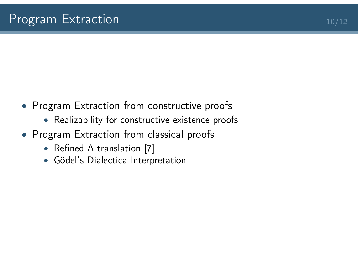- Program Extraction from constructive proofs
	- Realizability for constructive existence proofs
- Program Extraction from classical proofs
	- Refined A-translation [\[7\]](#page-30-6)
	- Gödel's Dialectica Interpretation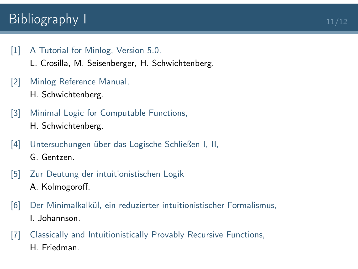# $\blacksquare$ Bibliography I  $\blacksquare$

<span id="page-30-0"></span>[1] [A Tutorial for Minlog, Version 5.0,](http://www.mathematik.uni-muenchen.de/~logik/minlog/cronfiles/tutor.pdf)

L. Crosilla, M. Seisenberger, H. Schwichtenberg.

- <span id="page-30-1"></span>[2] [Minlog Reference Manual,](http://www.mathematik.uni-muenchen.de/~logik/minlog/cronfiles/ref.pdf) H. Schwichtenberg.
- <span id="page-30-2"></span>[3] [Minimal Logic for Computable Functions,](http://www.mathematik.uni-muenchen.de/~logik/minlog/cronfiles/mlcf.pdf) H. Schwichtenberg.
- <span id="page-30-4"></span>[4] [Untersuchungen über das Logische Schließen I](http://dx.doi.org/10.1007/BF01201353)[, II,](http://dx.doi.org/10.1007/BF01201363) G. Gentzen.
- <span id="page-30-3"></span>[5] [Zur Deutung der intuitionistischen Logik](http://dx.doi.org/10.1007/BF01186549) A. Kolmogoroff.
- <span id="page-30-5"></span>[6] [Der Minimalkalkül, ein reduzierter intuitionistischer Formalismus,](http://www.numdam.org/item?id=CM_1937__4__119_0) I. Johannson.
- <span id="page-30-6"></span>[7] [Classically and Intuitionistically Provably Recursive Functions,](http://dx.doi.org/10.1007/BFb0103100) H. Friedman.